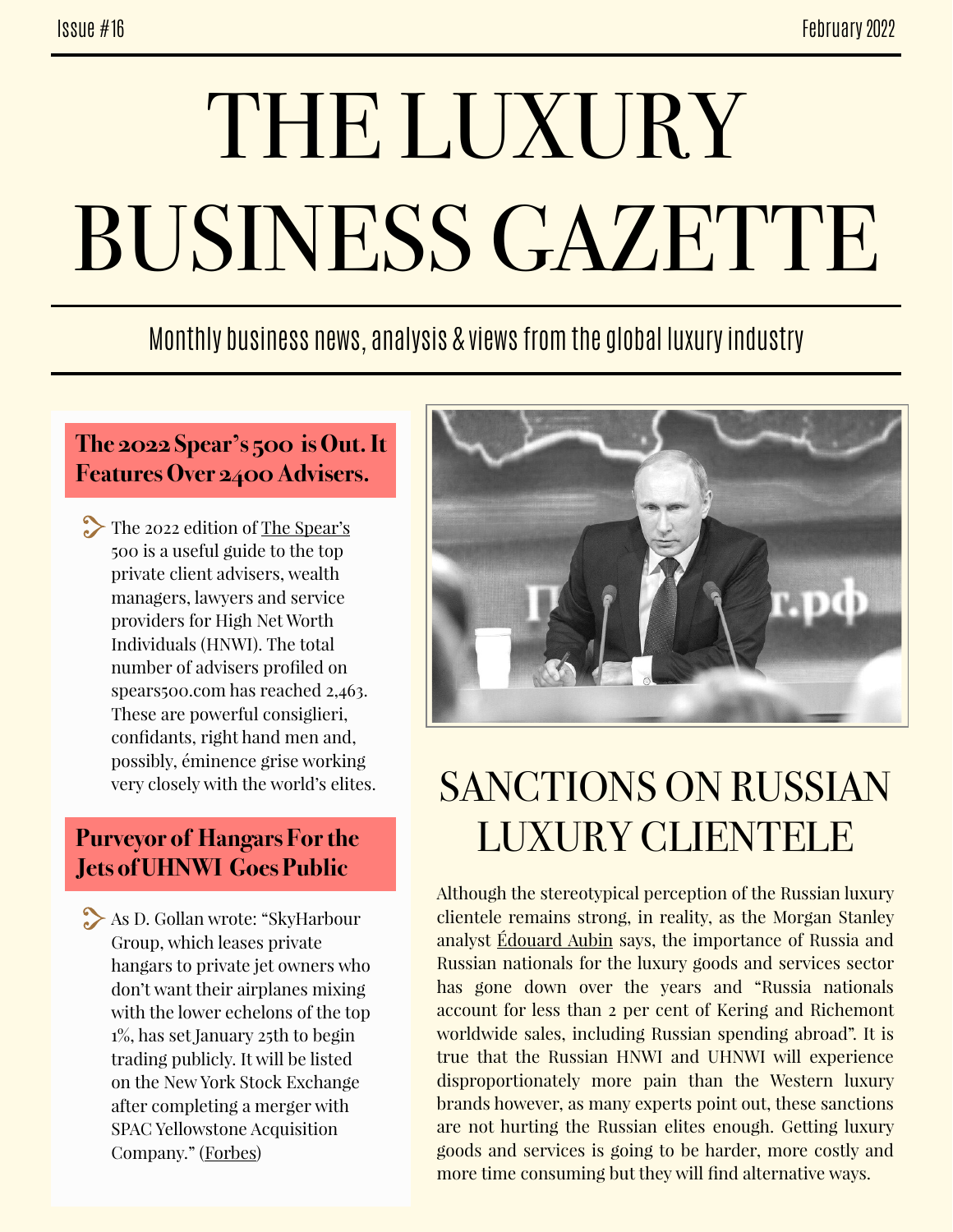# THE LUXURY BUSINESS GAZETTE

Monthly business news, analysis & views from the global luxury industry

#### **The 2022 Spear's 500 is Out. It Features Over 2400 Advisers.**

The 2022 edition of <u>The Spear's</u> 500 is a useful guide to the top private client advisers, wealth managers, lawyers and service providers for High Net Worth Individuals (HNWI). The total number of advisers profiled on spears500.com has reached 2,463. These are powerful consiglieri, confidants, right hand men and, possibly, éminence grise working very closely with the world's elites.

#### **Purveyor of Hangars For the Jets of UHNWI Goes Public**

As D. Gollan wrote: "SkyHarbour Group, which leases private hangars to private jet owners who don't want their airplanes mixing with the lower echelons of the top 1%, has set January 25th to begin trading publicly. It will be listed on the New York Stock Exchange after completing a merger with SPAC Yellowstone Acquisition Company." [\(Forbes\)](https://www.forbes.com/sites/douggollan/2022/01/11/purveyor-of-private-hangers-for-the-private-jets-of-uhnws-goes-public/?sh=23cf8a5c1503)



## SANCTIONS ON RUSSIAN LUXURY CLIENTELE

Although the stereotypical perception of the Russian luxury clientele remains strong, in reality, as the Morgan Stanley analyst [Édouard Aubin](https://www.voguebusiness.com/fashion/to-do-or-not-to-do-luxury-sanctions-on-russia?amp) says, the importance of Russia and Russian nationals for the luxury goods and services sector has gone down over the years and "Russia nationals account for less than 2 per cent of Kering and Richemont worldwide sales, including Russian spending abroad". It is true that the Russian HNWI and UHNWI will experience disproportionately more pain than the Western luxury brands however, as many experts point out, these sanctions are not hurting the Russian elites enough. Getting luxury goods and services is going to be harder, more costly and more time consuming but they will find alternative ways.